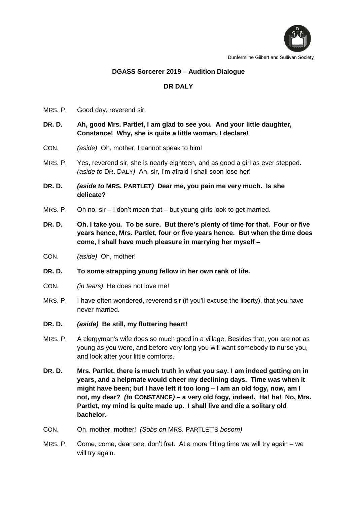

Dunfermline Gilbert and Sullivan Society

## **DGASS Sorcerer 2019 – Audition Dialogue**

## **DR DALY**

- MRS. P. Good day, reverend sir.
- **DR. D. Ah, good Mrs. Partlet, I am glad to see you. And your little daughter, Constance! Why, she is quite a little woman, I declare!**
- CON. *(aside)* Oh, mother, I cannot speak to him!
- MRS. P. Yes, reverend sir, she is nearly eighteen, and as good a girl as ever stepped. *(aside to* DR. DALY*)* Ah, sir, I'm afraid I shall soon lose her!
- **DR. D.** *(aside to* **MRS. PARTLET***)* **Dear me, you pain me very much. Is she delicate?**
- MRS. P. Oh no, sir I don't mean that but young girls look to get married.
- **DR. D. Oh, I take you. To be sure. But there's plenty of time for that. Four or five years hence, Mrs. Partlet, four or five years hence. But when the time does come, I shall have much pleasure in marrying her myself –**
- CON. *(aside)* Oh, mother!
- **DR. D. To some strapping young fellow in her own rank of life.**
- CON. *(in tears)* He does not love me!
- MRS. P. I have often wondered, reverend sir (if you'll excuse the liberty), that *you* have never married.
- **DR. D.** *(aside)* **Be still, my fluttering heart!**
- MRS. P. A clergyman's wife does so much good in a village. Besides that, you are not as young as you were, and before very long you will want somebody to nurse you, and look after your little comforts.
- **DR. D. Mrs. Partlet, there is much truth in what you say. I am indeed getting on in years, and a helpmate would cheer my declining days. Time was when it might have been; but I have left it too long – I am an old fogy, now, am I not, my dear?** *(to* **CONSTANCE***)* **– a very old fogy, indeed. Ha! ha! No, Mrs. Partlet, my mind is quite made up. I shall live and die a solitary old bachelor.**
- CON. Oh, mother, mother! *(Sobs on* MRS. PARTLET'S *bosom)*
- MRS. P. Come, come, dear one, don't fret. At a more fitting time we will try again we will try again.